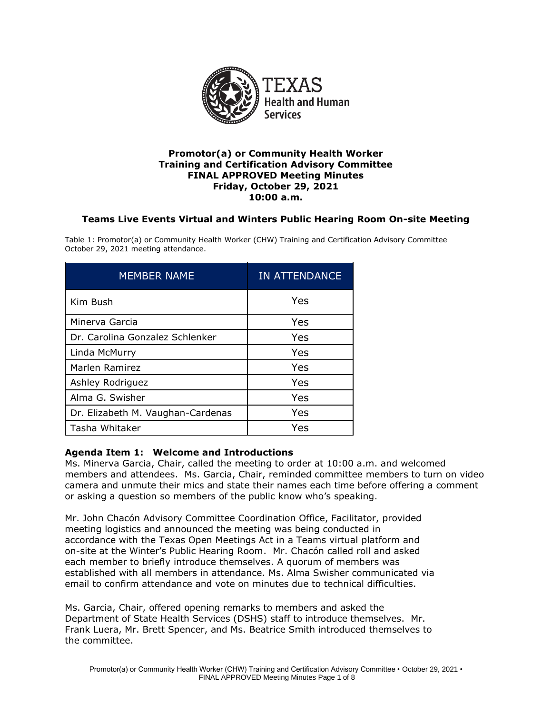

### **Training and Certification Advisory Committee Promotor(a) or Community Health Worker FINAL APPROVED Meeting Minutes Friday, October 29, 2021 10:00 a.m.**

# **Teams Live Events Virtual and Winters Public Hearing Room On-site Meeting**

 Table 1: Promotor(a) or Community Health Worker (CHW) Training and Certification Advisory Committee October 29, 2021 meeting attendance.

| <b>MEMBER NAME</b>                | <b>IN ATTENDANCE</b> |
|-----------------------------------|----------------------|
| Kim Bush                          | Yes                  |
| Minerva Garcia                    | Yes                  |
| Dr. Carolina Gonzalez Schlenker   | Yes                  |
| Linda McMurry                     | Yes                  |
| Marlen Ramirez                    | Yes                  |
| Ashley Rodriguez                  | Yes                  |
| Alma G. Swisher                   | Yes                  |
| Dr. Elizabeth M. Vaughan-Cardenas | Yes                  |
| Tasha Whitaker                    | Yes                  |

# **Agenda Item 1: Welcome and Introductions**

 members and attendees. Ms. Garcia, Chair, reminded committee members to turn on video or asking a question so members of the public know who's speaking. Ms. Minerva Garcia, Chair, called the meeting to order at 10:00 a.m. and welcomed camera and unmute their mics and state their names each time before offering a comment

 on-site at the Winter's Public Hearing Room. Mr. Chacón called roll and asked Mr. John Chacón Advisory Committee Coordination Office, Facilitator, provided meeting logistics and announced the meeting was being conducted in accordance with the Texas Open Meetings Act in a Teams virtual platform and each member to briefly introduce themselves. A quorum of members was established with all members in attendance. Ms. Alma Swisher communicated via email to confirm attendance and vote on minutes due to technical difficulties.

Ms. Garcia, Chair, offered opening remarks to members and asked the Department of State Health Services (DSHS) staff to introduce themselves. Mr. Frank Luera, Mr. Brett Spencer, and Ms. Beatrice Smith introduced themselves to the committee.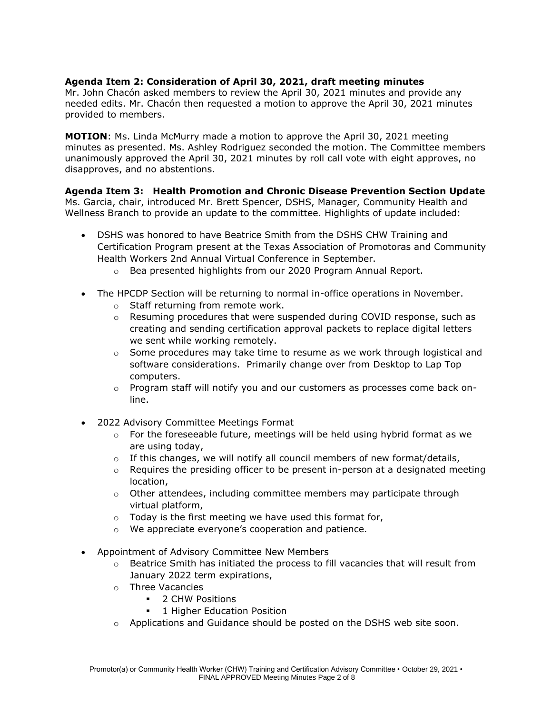# **Agenda Item 2: Consideration of April 30, 2021, draft meeting minutes**

 needed edits. Mr. Chacón then requested a motion to approve the April 30, 2021 minutes Mr. John Chacón asked members to review the April 30, 2021 minutes and provide any provided to members.

**MOTION**: Ms. Linda McMurry made a motion to approve the April 30, 2021 meeting minutes as presented. Ms. Ashley Rodriguez seconded the motion. The Committee members unanimously approved the April 30, 2021 minutes by roll call vote with eight approves, no disapproves, and no abstentions.

 **Agenda Item 3: Health Promotion and Chronic Disease Prevention Section Update**  Ms. Garcia, chair, introduced Mr. Brett Spencer, DSHS, Manager, Community Health and Wellness Branch to provide an update to the committee. Highlights of update included:

- DSHS was honored to have Beatrice Smith from the DSHS CHW Training and Certification Program present at the Texas Association of Promotoras and Community Health Workers 2nd Annual Virtual Conference in September.
	- o Bea presented highlights from our 2020 Program Annual Report.
- The HPCDP Section will be returning to normal in-office operations in November.
	- o Staff returning from remote work.
	- o Resuming procedures that were suspended during COVID response, such as creating and sending certification approval packets to replace digital letters we sent while working remotely.
	- software considerations. Primarily change over from Desktop to Lap Top  $\circ$  Some procedures may take time to resume as we work through logistical and computers.
	- $\circ$  Program staff will notify you and our customers as processes come back online.
- 2022 Advisory Committee Meetings Format
	- $\circ$  For the foreseeable future, meetings will be held using hybrid format as we are using today,
	- $\circ$  If this changes, we will notify all council members of new format/details,
	- $\circ$  Requires the presiding officer to be present in-person at a designated meeting location,
	- $\circ$  Other attendees, including committee members may participate through virtual platform,
	- $\circ$  Today is the first meeting we have used this format for,
	- o We appreciate everyone's cooperation and patience.
- Appointment of Advisory Committee New Members
	- $\circ$  Beatrice Smith has initiated the process to fill vacancies that will result from January 2022 term expirations,
	- o Three Vacancies
		- 2 CHW Positions
		- **•** 1 Higher Education Position
	- $\circ$  Applications and Guidance should be posted on the DSHS web site soon.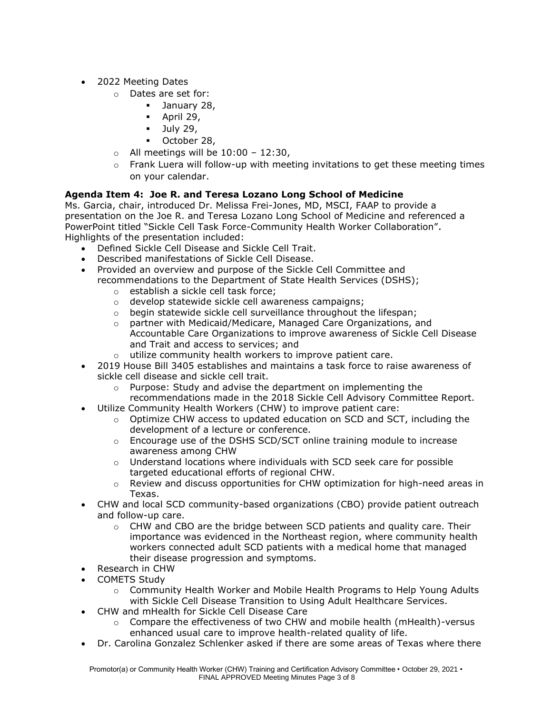- 2022 Meeting Dates
	- o Dates are set for:
		- **■** January 28,
		- $\blacksquare$  April 29,
		- $\blacksquare$  July 29,
		- October 28,
	- $\circ$  All meetings will be 10:00 12:30,
	- $\circ$  Frank Luera will follow-up with meeting invitations to get these meeting times on your calendar.

# **Agenda Item 4: Joe R. and Teresa Lozano Long School of Medicine**

 presentation on the Joe R. and Teresa Lozano Long School of Medicine and referenced a PowerPoint titled "Sickle Cell Task Force-Community Health Worker Collaboration". Ms. Garcia, chair, introduced Dr. Melissa Frei-Jones, MD, MSCI, FAAP to provide a Highlights of the presentation included:

- Defined Sickle Cell Disease and Sickle Cell Trait.
- Described manifestations of Sickle Cell Disease.
- Provided an overview and purpose of the Sickle Cell Committee and recommendations to the Department of State Health Services (DSHS);
	- o establish a sickle cell task force;
	- o develop statewide sickle cell awareness campaigns;
	- o begin statewide sickle cell surveillance throughout the lifespan;
	- o partner with Medicaid/Medicare, Managed Care Organizations, and Accountable Care Organizations to improve awareness of Sickle Cell Disease and Trait and access to services; and
	- o utilize community health workers to improve patient care.
- 2019 House Bill 3405 establishes and maintains a task force to raise awareness of sickle cell disease and sickle cell trait.
	- recommendations made in the 2018 Sickle Cell Advisory Committee Report. o Purpose: Study and advise the department on implementing the
- Utilize Community Health Workers (CHW) to improve patient care:
	- development of a lecture or conference.  $\circ$  Optimize CHW access to updated education on SCD and SCT, including the
	- o Encourage use of the DSHS SCD/SCT online training module to increase awareness among CHW
	- targeted educational efforts of regional CHW.  $\circ$  Understand locations where individuals with SCD seek care for possible
	- $\circ$  Review and discuss opportunities for CHW optimization for high-need areas in Texas.
- CHW and local SCD community-based organizations (CBO) provide patient outreach and follow-up care.
	- their disease progression and symptoms.  $\circ$  CHW and CBO are the bridge between SCD patients and quality care. Their importance was evidenced in the Northeast region, where community health workers connected adult SCD patients with a medical home that managed
- Research in CHW
- COMETS Study
	- with Sickle Cell Disease Transition to Using Adult Healthcare Services.  $\circ$  Community Health Worker and Mobile Health Programs to Help Young Adults
- CHW and mHealth for Sickle Cell Disease Care
	- enhanced usual care to improve health-related quality of life.  $\circ$  Compare the effectiveness of two CHW and mobile health (mHealth)-versus
- Dr. Carolina Gonzalez Schlenker asked if there are some areas of Texas where there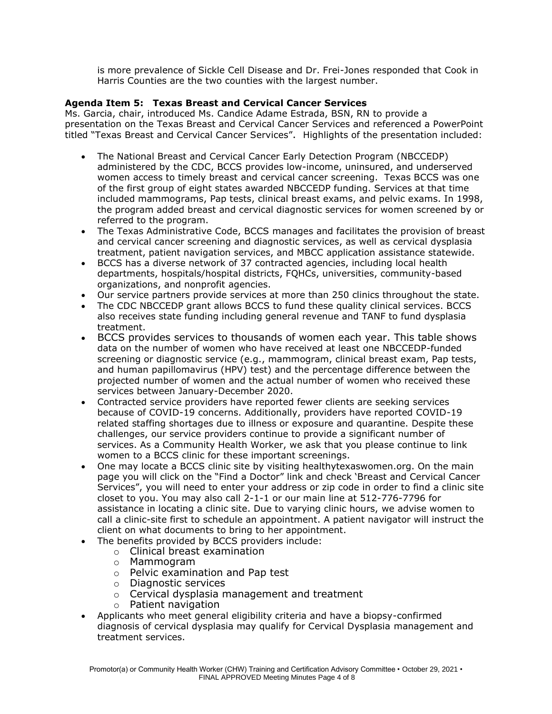is more prevalence of Sickle Cell Disease and Dr. Frei-Jones responded that Cook in Harris Counties are the two counties with the largest number.

# **Agenda Item 5: Texas Breast and Cervical Cancer Services**

 presentation on the Texas Breast and Cervical Cancer Services and referenced a PowerPoint titled "Texas Breast and Cervical Cancer Services". Highlights of the presentation included: Ms. Garcia, chair, introduced Ms. Candice Adame Estrada, BSN, RN to provide a

- The National Breast and Cervical Cancer Early Detection Program (NBCCEDP) administered by the CDC, BCCS provides low-income, uninsured, and underserved women access to timely breast and cervical cancer screening. Texas BCCS was one of the first group of eight states awarded NBCCEDP funding. Services at that time included mammograms, Pap tests, clinical breast exams, and pelvic exams. In 1998, the program added breast and cervical diagnostic services for women screened by or referred to the program.
- The Texas Administrative Code, BCCS manages and facilitates the provision of breast and cervical cancer screening and diagnostic services, as well as cervical dysplasia treatment, patient navigation services, and MBCC application assistance statewide.
- • BCCS has a diverse network of 37 contracted agencies, including local health departments, hospitals/hospital districts, FQHCs, universities, community-based organizations, and nonprofit agencies.
- Our service partners provide services at more than 250 clinics throughout the state.
- The CDC NBCCEDP grant allows BCCS to fund these quality clinical services. BCCS also receives state funding including general revenue and TANF to fund dysplasia treatment.
- BCCS provides services to thousands of women each year. This table shows data on the number of women who have received at least one NBCCEDP-funded screening or diagnostic service (e.g., mammogram, clinical breast exam, Pap tests, and human papillomavirus (HPV) test) and the percentage difference between the projected number of women and the actual number of women who received these services between January-December 2020.
- challenges, our service providers continue to provide a significant number of • Contracted service providers have reported fewer clients are seeking services because of COVID-19 concerns. Additionally, providers have reported COVID-19 related staffing shortages due to illness or exposure and quarantine. Despite these services. As a Community Health Worker, we ask that you please continue to link women to a BCCS clinic for these important screenings.
- page you will click on the "Find a Doctor" link and check 'Breast and Cervical Cancer closet to you. You may also call 2-1-1 or our main line at 512-776-7796 for • One may locate a BCCS clinic site by visiting [healthytexaswomen.org](https://healthytexaswomen.org). On the main Services", you will need to enter your address or zip code in order to find a clinic site assistance in locating a clinic site. Due to varying clinic hours, we advise women to call a clinic-site first to schedule an appointment. A patient navigator will instruct the client on what documents to bring to her appointment.
- The benefits provided by BCCS providers include:
	- o Clinical breast examination
	- o Mammogram
	- o Pelvic examination and Pap test
	- o Diagnostic services
	- o Cervical dysplasia management and treatment
	- o Patient navigation
- Applicants who meet general eligibility criteria and have a biopsy-confirmed diagnosis of cervical dysplasia may qualify for Cervical Dysplasia management and treatment services.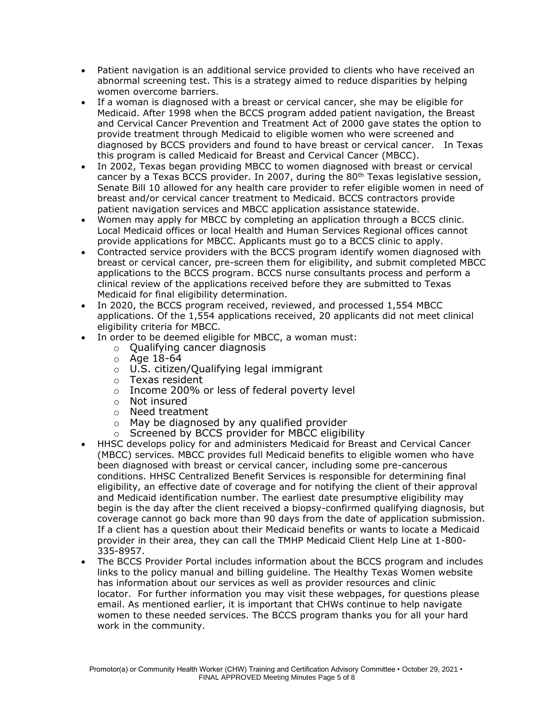- Patient navigation is an additional service provided to clients who have received an abnormal screening test. This is a strategy aimed to reduce disparities by helping women overcome barriers.
- diagnosed by BCCS providers and found to have breast or cervical cancer. In Texas • If a woman is diagnosed with a breast or cervical cancer, she may be eligible for Medicaid. After 1998 when the BCCS program added patient navigation, the Breast and Cervical Cancer Prevention and Treatment Act of 2000 gave states the option to provide treatment through Medicaid to eligible women who were screened and this program is called Medicaid for Breast and Cervical Cancer (MBCC).
- Senate Bill 10 allowed for any health care provider to refer eligible women in need of • In 2002, Texas began providing MBCC to women diagnosed with breast or cervical cancer by a Texas BCCS provider. In 2007, during the  $80<sup>th</sup>$  Texas legislative session, breast and/or cervical cancer treatment to Medicaid. BCCS contractors provide patient navigation services and MBCC application assistance statewide.
- Women may apply for MBCC by completing an application through a BCCS clinic. Local Medicaid offices or local Health and Human Services Regional offices cannot provide applications for MBCC. Applicants must go to a BCCS clinic to apply.
- Medicaid for final eligibility determination. • Contracted service providers with the BCCS program identify women diagnosed with breast or cervical cancer, pre-screen them for eligibility, and submit completed MBCC applications to the BCCS program. BCCS nurse consultants process and perform a clinical review of the applications received before they are submitted to Texas
- applications. Of the 1,554 applications received, 20 applicants did not meet clinical In 2020, the BCCS program received, reviewed, and processed 1,554 MBCC eligibility criteria for MBCC.
- In order to be deemed eligible for MBCC, a woman must:
	- o Qualifying cancer diagnosis
	- $\circ$  Age 18-64
	- o U.S. citizen/Qualifying legal immigrant
	- o Texas resident
	- o Income 200% or less of federal poverty level
	- o Not insured
	-
	- o May be diagnosed by any qualified provider o Need treatment<br>o May be diagnose
	- o Screened by BCCS provider for MBCC eligibility
- (MBCC) services. MBCC provides full Medicaid benefits to eligible women who have been diagnosed with breast or cervical cancer, including some pre-cancerous eligibility, an effective date of coverage and for notifying the client of their approval • HHSC develops policy for and administers Medicaid for Breast and Cervical Cancer conditions. HHSC Centralized Benefit Services is responsible for determining final and Medicaid identification number. The earliest date presumptive eligibility may begin is the day after the client received a biopsy-confirmed qualifying diagnosis, but coverage cannot go back more than 90 days from the date of application submission. If a client has a question about their Medicaid benefits or wants to locate a Medicaid provider in their area, they can call the TMHP Medicaid Client Help Line at 1-800- 335-8957.
- email. As mentioned earlier, it is important that CHWs continue to help navigate women to these needed services. The BCCS program thanks you for all your hard • The BCCS Provider Portal includes information about the BCCS program and includes links to the policy manual and billing guideline. The Healthy Texas Women website has information about our services as well as provider resources and clinic locator. For further information you may visit these webpages, for questions please work in the community.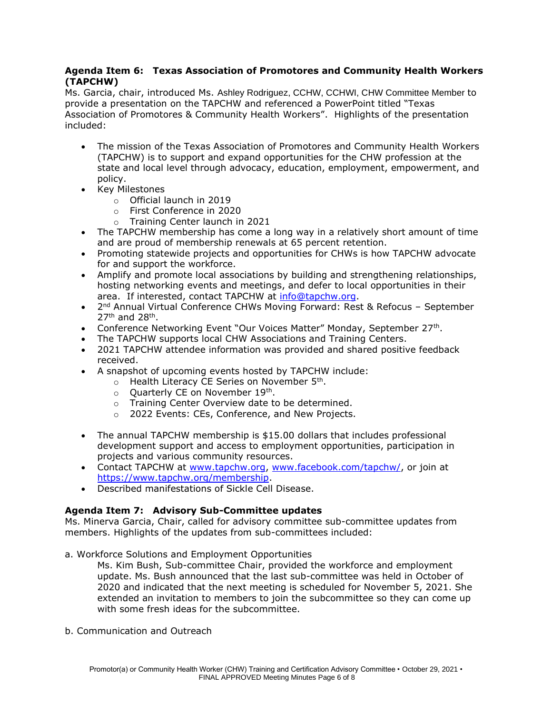# **Agenda Item 6: Texas Association of Promotores and Community Health Workers (TAPCHW)**

Ms. Garcia, chair, introduced Ms. Ashley Rodriguez, CCHW, CCHWI, CHW Committee Member to provide a presentation on the TAPCHW and referenced a PowerPoint titled "Texas Association of Promotores & Community Health Workers". Highlights of the presentation included:

- (TAPCHW) is to support and expand opportunities for the CHW profession at the • The mission of the Texas Association of Promotores and Community Health Workers state and local level through advocacy, education, employment, empowerment, and policy.
- Key Milestones
	- o Official launch in 2019
	- o First Conference in 2020
	- o Training Center launch in 2021
- The TAPCHW membership has come a long way in a relatively short amount of time and are proud of membership renewals at 65 percent retention.
- Promoting statewide projects and opportunities for CHWs is how TAPCHW advocate for and support the workforce.
- Amplify and promote local associations by building and strengthening relationships, hosting networking events and meetings, and defer to local opportunities in their area. If interested, contact TAPCHW at [info@tapchw.org.](mailto:info@tapchw.org)
- 2<sup>nd</sup> Annual Virtual Conference CHWs Moving Forward: Rest & Refocus September 27<sup>th</sup> and 28<sup>th</sup>.
- Conference Networking Event "Our Voices Matter" Monday, September 27<sup>th</sup>.
- The TAPCHW supports local CHW Associations and Training Centers.
- • 2021 TAPCHW attendee information was provided and shared positive feedback received.
- A snapshot of upcoming events hosted by TAPCHW include:
	- $\circ$  Health Literacy CE Series on November 5<sup>th</sup>.
	- $\circ$  Quarterly CE on November 19<sup>th</sup>.
	- o Training Center Overview date to be determined.
	- o 2022 Events: CEs, Conference, and New Projects.
- The annual TAPCHW membership is \$15.00 dollars that includes professional development support and access to employment opportunities, participation in projects and various community resources.
- Contact TAPCHW at [www.tapchw.org,](http://www.tapchw.org/) [www.facebook.com/tapchw/,](http://www.facebook.com/tapchw/) or join at [https://www.tapchw.org/membership.](https://www.tapchw.org/membership)
- Described manifestations of Sickle Cell Disease.

# **Agenda Item 7: Advisory Sub-Committee updates**

Ms. Minerva Garcia, Chair, called for advisory committee sub-committee updates from members. Highlights of the updates from sub-committees included:

a. Workforce Solutions and Employment Opportunities

 update. Ms. Bush announced that the last sub-committee was held in October of Ms. Kim Bush, Sub-committee Chair, provided the workforce and employment 2020 and indicated that the next meeting is scheduled for November 5, 2021. She extended an invitation to members to join the subcommittee so they can come up with some fresh ideas for the subcommittee.

b. Communication and Outreach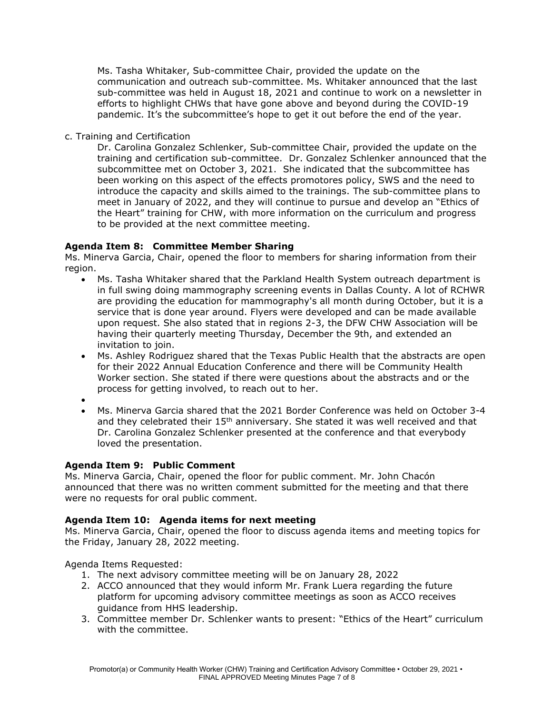communication and outreach sub-committee. Ms. Whitaker announced that the last pandemic. It's the subcommittee's hope to get it out before the end of the year. Ms. Tasha Whitaker, Sub-committee Chair, provided the update on the sub-committee was held in August 18, 2021 and continue to work on a newsletter in efforts to highlight CHWs that have gone above and beyond during the COVID-19

c. Training and Certification

 training and certification sub-committee. Dr. Gonzalez Schlenker announced that the Dr. Carolina Gonzalez Schlenker, Sub-committee Chair, provided the update on the subcommittee met on October 3, 2021. She indicated that the subcommittee has been working on this aspect of the effects promotores policy, SWS and the need to introduce the capacity and skills aimed to the trainings. The sub-committee plans to meet in January of 2022, and they will continue to pursue and develop an "Ethics of the Heart" training for CHW, with more information on the curriculum and progress to be provided at the next committee meeting.

# **Agenda Item 8: Committee Member Sharing**

 Ms. Minerva Garcia, Chair, opened the floor to members for sharing information from their region.

- Ms. Tasha Whitaker shared that the Parkland Health System outreach department is in full swing doing mammography screening events in Dallas County. A lot of RCHWR are providing the education for mammography's all month during October, but it is a service that is done year around. Flyers were developed and can be made available upon request. She also stated that in regions 2-3, the DFW CHW Association will be having their quarterly meeting Thursday, December the 9th, and extended an invitation to join.
- Worker section. She stated if there were questions about the abstracts and or the • Ms. Ashley Rodriguez shared that the Texas Public Health that the abstracts are open for their 2022 Annual Education Conference and there will be Community Health process for getting involved, to reach out to her.
- •
- Ms. Minerva Garcia shared that the 2021 Border Conference was held on October 3-4 and they celebrated their  $15<sup>th</sup>$  anniversary. She stated it was well received and that Dr. Carolina Gonzalez Schlenker presented at the conference and that everybody loved the presentation.

# **Agenda Item 9: Public Comment**

 Ms. Minerva Garcia, Chair, opened the floor for public comment. Mr. John Chacón announced that there was no written comment submitted for the meeting and that there were no requests for oral public comment.

# **Agenda Item 10: Agenda items for next meeting**

 Ms. Minerva Garcia, Chair, opened the floor to discuss agenda items and meeting topics for the Friday, January 28, 2022 meeting.

Agenda Items Requested:

- 1. The next advisory committee meeting will be on January 28, 2022
- 2. ACCO announced that they would inform Mr. Frank Luera regarding the future platform for upcoming advisory committee meetings as soon as ACCO receives guidance from HHS leadership.
- 3. Committee member Dr. Schlenker wants to present: "Ethics of the Heart" curriculum with the committee.